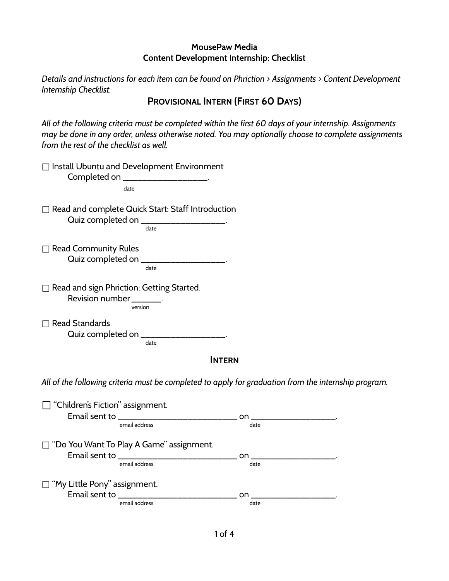*Details and instructions for each item can be found on Phriction > Assignments > Content Development Internship Checklist.*

# **PROVISIONAL INTERN (FIRST 60 DAYS)**

*All of the following criteria must be completed within the first 60 days of your internship. Assignments may be done in any order, unless otherwise noted. You may optionally choose to complete assignments from the rest of the checklist as well.*

| Install Ubuntu and Development Environment<br>Completed on ____________________                             |                         |  |
|-------------------------------------------------------------------------------------------------------------|-------------------------|--|
| date                                                                                                        |                         |  |
| $\Box$ Read and complete Quick Start: Staff Introduction<br>Quiz completed on _____________________<br>date |                         |  |
| $\Box$ Read Community Rules<br>Quiz completed on __________________<br>date                                 |                         |  |
| $\Box$ Read and sign Phriction: Getting Started.<br>Revision number ________.<br>version                    |                         |  |
| <b>Read Standards</b><br>Quiz completed on ____________________<br>date                                     |                         |  |
| <b>INTERN</b>                                                                                               |                         |  |
| All of the following criteria must be completed to apply for graduation from the internship program.        |                         |  |
| $\Box$ "Children's Fiction" assignment.                                                                     |                         |  |
| email address                                                                                               | date                    |  |
| □ "Do You Want To Play A Game" assignment.                                                                  |                         |  |
|                                                                                                             | on ____________________ |  |
| email address                                                                                               | date                    |  |
| $\Box$ "My Little Pony" assignment.                                                                         |                         |  |
| Email sent to _____________                                                                                 | on.                     |  |

email address date and the control of the control of the control of the control of the control of the control of the control of the control of the control of the control of the control of the control of the control of the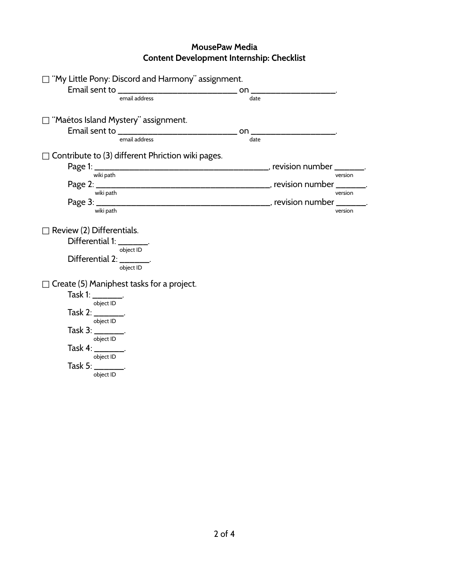| $\Box$ "My Little Pony: Discord and Harmony" assignment.                                                                                                  |      |                                                                                                                |         |
|-----------------------------------------------------------------------------------------------------------------------------------------------------------|------|----------------------------------------------------------------------------------------------------------------|---------|
| Email sent to ________________________________                                                                                                            |      | on a state of the state of the state of the state of the state of the state of the state of the state of the s |         |
| email address                                                                                                                                             | date |                                                                                                                |         |
| ∃ "Maétos Island Mystery" assignment.                                                                                                                     |      |                                                                                                                |         |
|                                                                                                                                                           |      |                                                                                                                |         |
| email address                                                                                                                                             | date |                                                                                                                |         |
| ] Contribute to (3) different Phriction wiki pages.                                                                                                       |      |                                                                                                                |         |
| wiki path                                                                                                                                                 |      |                                                                                                                | version |
|                                                                                                                                                           |      |                                                                                                                |         |
| wiki path                                                                                                                                                 |      |                                                                                                                | version |
|                                                                                                                                                           |      |                                                                                                                |         |
| wiki path                                                                                                                                                 |      |                                                                                                                | version |
| Review (2) Differentials.<br>Differential 1: ________.<br>object ID<br>Differential 2: _______.<br>object ID<br>Create (5) Maniphest tasks for a project. |      |                                                                                                                |         |
| Task 1: ________.                                                                                                                                         |      |                                                                                                                |         |
| object ID                                                                                                                                                 |      |                                                                                                                |         |
| Task 2: ________.<br>object ID                                                                                                                            |      |                                                                                                                |         |
| Task 3: ________.<br>object ID                                                                                                                            |      |                                                                                                                |         |
| Task $4:$ _________.                                                                                                                                      |      |                                                                                                                |         |
| Task 5: ________.<br>object ID                                                                                                                            |      |                                                                                                                |         |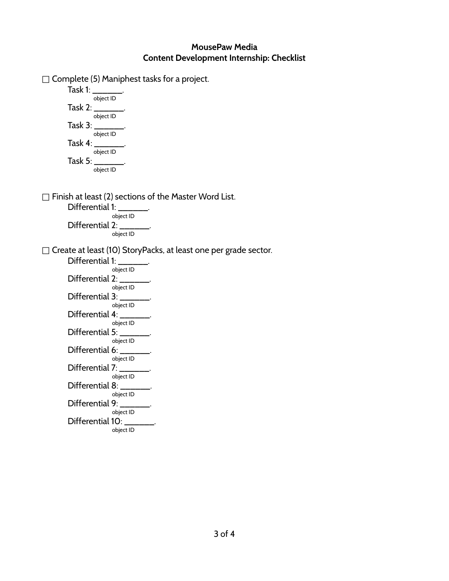$\Box$  Complete (5) Maniphest tasks for a project.

Task 1:  $\overline{\phantom{a}}$ object ID Task 2: \_\_\_\_\_\_. object ID Task 3: \_\_\_\_\_\_. object ID Task 4: \_\_\_\_\_\_. object ID Task 5: \_\_\_\_\_\_. object ID

 $\Box$  Finish at least (2) sections of the Master Word List.

Differential 1: object ID Differential 2: object ID

□ Create at least (10) StoryPacks, at least one per grade sector.

Differential 1: object ID Differential 2: object ID Differential 3: object ID Differential 4: object ID Differential 5: object ID Differential 6: object ID Differential 7: object ID Differential 8: object ID Differential 9: object ID Differential 10: object ID